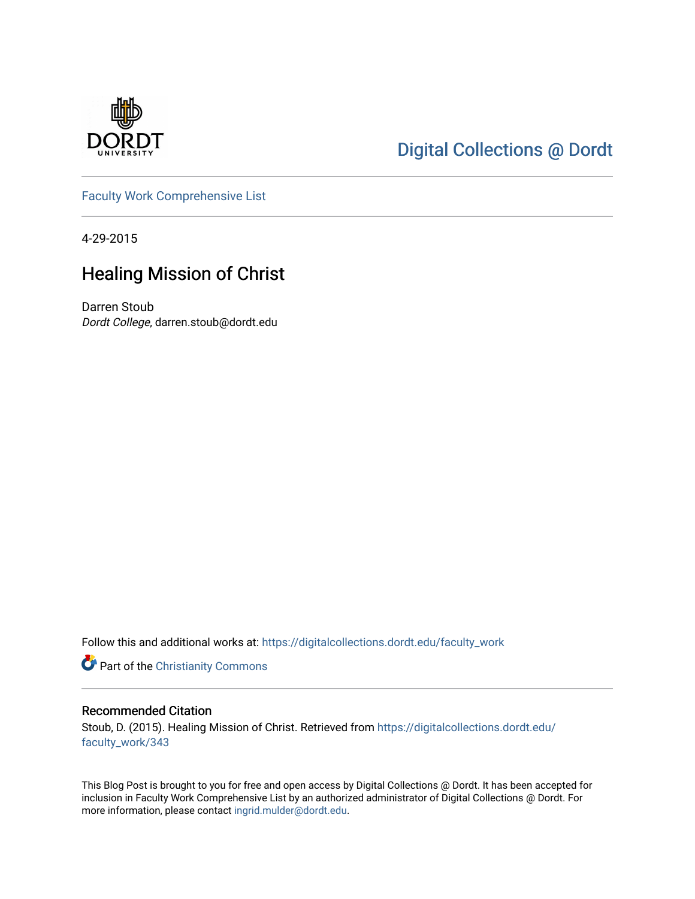

## [Digital Collections @ Dordt](https://digitalcollections.dordt.edu/)

[Faculty Work Comprehensive List](https://digitalcollections.dordt.edu/faculty_work)

4-29-2015

## Healing Mission of Christ

Darren Stoub Dordt College, darren.stoub@dordt.edu

Follow this and additional works at: [https://digitalcollections.dordt.edu/faculty\\_work](https://digitalcollections.dordt.edu/faculty_work?utm_source=digitalcollections.dordt.edu%2Ffaculty_work%2F343&utm_medium=PDF&utm_campaign=PDFCoverPages) 

Part of the [Christianity Commons](http://network.bepress.com/hgg/discipline/1181?utm_source=digitalcollections.dordt.edu%2Ffaculty_work%2F343&utm_medium=PDF&utm_campaign=PDFCoverPages) 

#### Recommended Citation

Stoub, D. (2015). Healing Mission of Christ. Retrieved from [https://digitalcollections.dordt.edu/](https://digitalcollections.dordt.edu/faculty_work/343?utm_source=digitalcollections.dordt.edu%2Ffaculty_work%2F343&utm_medium=PDF&utm_campaign=PDFCoverPages) [faculty\\_work/343](https://digitalcollections.dordt.edu/faculty_work/343?utm_source=digitalcollections.dordt.edu%2Ffaculty_work%2F343&utm_medium=PDF&utm_campaign=PDFCoverPages)

This Blog Post is brought to you for free and open access by Digital Collections @ Dordt. It has been accepted for inclusion in Faculty Work Comprehensive List by an authorized administrator of Digital Collections @ Dordt. For more information, please contact [ingrid.mulder@dordt.edu.](mailto:ingrid.mulder@dordt.edu)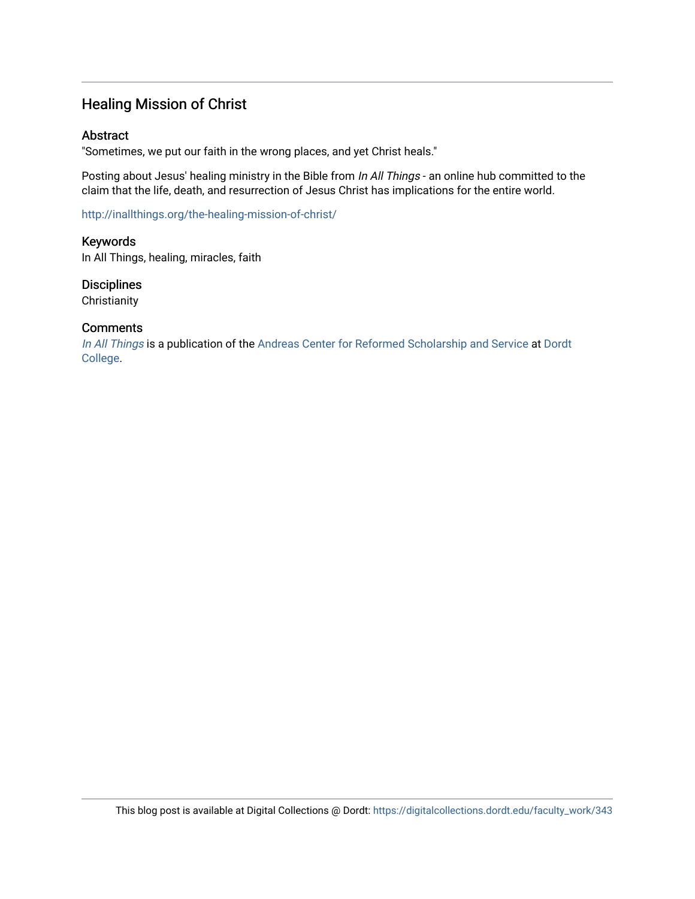### Healing Mission of Christ

#### Abstract

"Sometimes, we put our faith in the wrong places, and yet Christ heals."

Posting about Jesus' healing ministry in the Bible from In All Things - an online hub committed to the claim that the life, death, and resurrection of Jesus Christ has implications for the entire world.

<http://inallthings.org/the-healing-mission-of-christ/>

Keywords In All Things, healing, miracles, faith

**Disciplines Christianity** 

#### **Comments**

[In All Things](http://inallthings.org/) is a publication of the [Andreas Center for Reformed Scholarship and Service](http://www.dordt.edu/services_support/andreas_center/) at Dordt [College](http://www.dordt.edu/).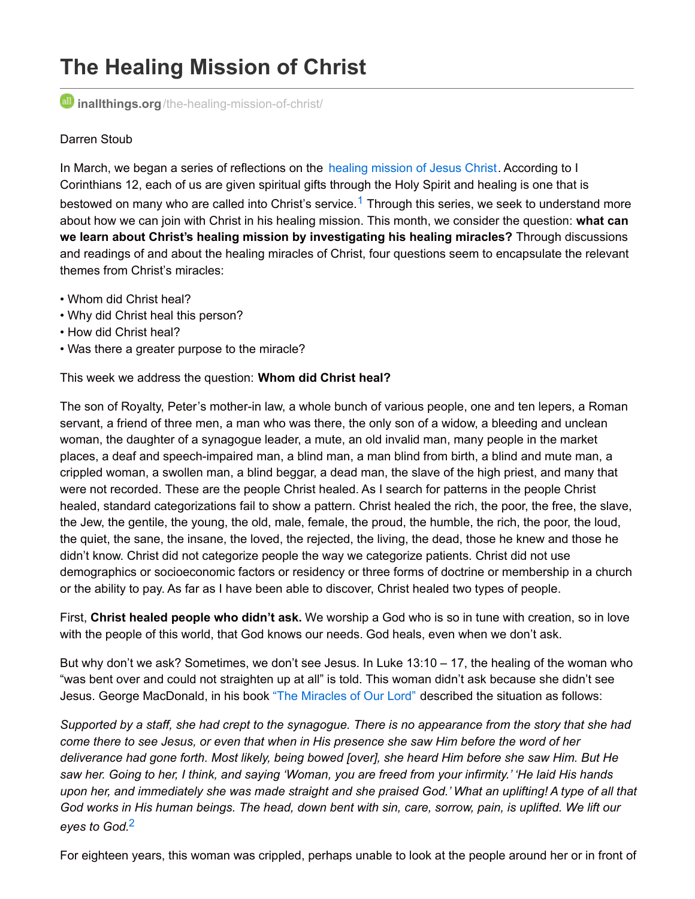# **The Healing Mission of Christ**

*i***nallthings.org**[/the-healing-mission-of-christ/](http://inallthings.org/the-healing-mission-of-christ/)

#### Darren Stoub

In March, we began a series of reflections on the healing [mission](http://inallthings.org/joining-christ-in-mission/) of Jesus Christ. According to I Corinthians 12, each of us are given spiritual gifts through the Holy Spirit and healing is one that is bestowed on many who are called into Christ's service.<sup>[1](http://inallthings.org/the-healing-mission-of-christ/#fn1-4273)</sup> Through this series, we seek to understand more about how we can join with Christ in his healing mission. This month, we consider the question: **what can we learn about Christ's healing mission by investigating his healing miracles?** Through discussions and readings of and about the healing miracles of Christ, four questions seem to encapsulate the relevant themes from Christ's miracles:

- Whom did Christ heal?
- Why did Christ heal this person?
- How did Christ heal?
- Was there a greater purpose to the miracle?

This week we address the question: **Whom did Christ heal?**

The son of Royalty, Peter's mother-in law, a whole bunch of various people, one and ten lepers, a Roman servant, a friend of three men, a man who was there, the only son of a widow, a bleeding and unclean woman, the daughter of a synagogue leader, a mute, an old invalid man, many people in the market places, a deaf and speech-impaired man, a blind man, a man blind from birth, a blind and mute man, a crippled woman, a swollen man, a blind beggar, a dead man, the slave of the high priest, and many that were not recorded. These are the people Christ healed. As I search for patterns in the people Christ healed, standard categorizations fail to show a pattern. Christ healed the rich, the poor, the free, the slave, the Jew, the gentile, the young, the old, male, female, the proud, the humble, the rich, the poor, the loud, the quiet, the sane, the insane, the loved, the rejected, the living, the dead, those he knew and those he didn't know. Christ did not categorize people the way we categorize patients. Christ did not use demographics or socioeconomic factors or residency or three forms of doctrine or membership in a church or the ability to pay. As far as I have been able to discover, Christ healed two types of people.

First, **Christ healed people who didn't ask.** We worship a God who is so in tune with creation, so in love with the people of this world, that God knows our needs. God heals, even when we don't ask.

But why don't we ask? Sometimes, we don't see Jesus. In Luke 13:10 – 17, the healing of the woman who "was bent over and could not straighten up at all" is told. This woman didn't ask because she didn't see Jesus. George MacDonald, in his book "The [Miracles](http://www.worldcat.org/title/miracles-of-our-lord/oclc/5493814&referer=brief_results) of Our Lord" described the situation as follows:

Supported by a staff, she had crept to the synagogue. There is no appearance from the story that she had come there to see Jesus, or even that when in His presence she saw Him before the word of her deliverance had gone forth. Most likely, being bowed [over], she heard Him before she saw Him. But He saw her. Going to her, I think, and saying 'Woman, you are freed from your infirmity.' 'He laid His hands upon her, and immediately she was made straight and she praised God.' What an uplifting! A type of all that God works in His human beings. The head, down bent with sin, care, sorrow, pain, is uplifted. We lift our *eyes to God.* [2](http://inallthings.org/the-healing-mission-of-christ/#fn2-4273)

For eighteen years, this woman was crippled, perhaps unable to look at the people around her or in front of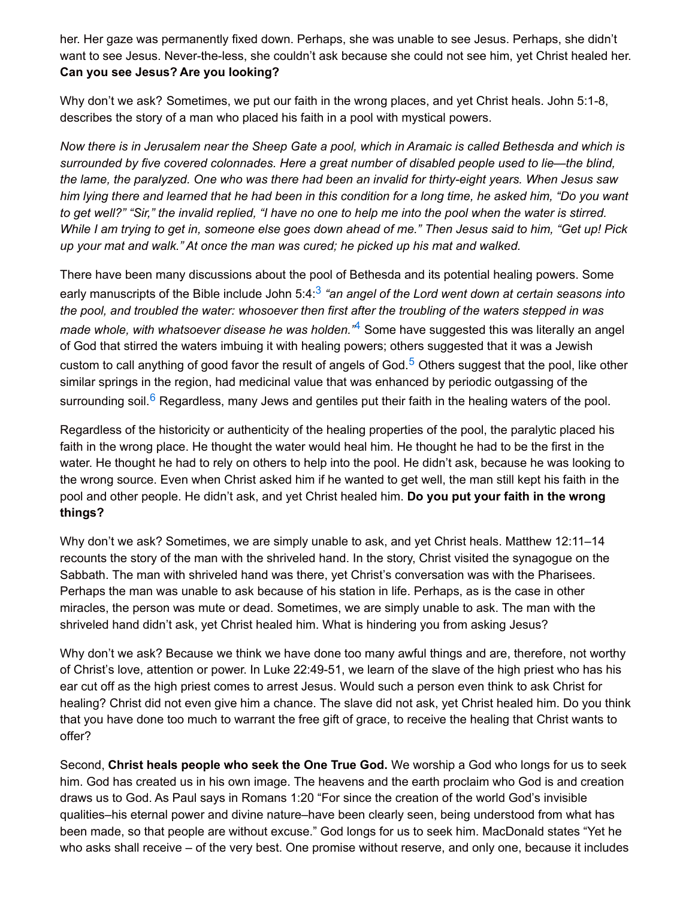her. Her gaze was permanently fixed down. Perhaps, she was unable to see Jesus. Perhaps, she didn't want to see Jesus. Never-the-less, she couldn't ask because she could not see him, yet Christ healed her. **Can you see Jesus? Are you looking?**

Why don't we ask? Sometimes, we put our faith in the wrong places, and yet Christ heals, John 5:1-8, describes the story of a man who placed his faith in a pool with mystical powers.

Now there is in Jerusalem near the Sheep Gate a pool, which in Aramaic is called Bethesda and which is *surrounded by five covered colonnades. Here a great number of disabled people used to lie—the blind,* the lame, the paralyzed. One who was there had been an invalid for thirty-eight years. When Jesus saw him lying there and learned that he had been in this condition for a long time, he asked him, "Do you want to get well?" "Sir," the invalid replied, "I have no one to help me into the pool when the water is stirred. While I am trying to get in, someone else goes down ahead of me." Then Jesus said to him, "Get up! Pick *up your mat and walk." At once the man was cured; he picked up his mat and walked.*

There have been many discussions about the pool of Bethesda and its potential healing powers. Some early manuscripts of the Bible include John 5:4: [3](http://inallthings.org/the-healing-mission-of-christ/#fn3-4273) *"an angel of the Lord went down at certain seasons into* the pool, and troubled the water: whosoever then first after the troubling of the waters stepped in was *made whole, with whatsoever disease he was holden."* [4](http://inallthings.org/the-healing-mission-of-christ/#fn4-4273) Some have suggested this was literally an angel of God that stirred the waters imbuing it with healing powers; others suggested that it was a Jewish custom to call anything of good favor the result of angels of God.<sup>[5](http://inallthings.org/the-healing-mission-of-christ/#fn5-4273)</sup> Others suggest that the pool, like other similar springs in the region, had medicinal value that was enhanced by periodic outgassing of the surrounding soil.<sup>[6](http://inallthings.org/the-healing-mission-of-christ/#fn6-4273)</sup> Regardless, many Jews and gentiles put their faith in the healing waters of the pool.

Regardless of the historicity or authenticity of the healing properties of the pool, the paralytic placed his faith in the wrong place. He thought the water would heal him. He thought he had to be the first in the water. He thought he had to rely on others to help into the pool. He didn't ask, because he was looking to the wrong source. Even when Christ asked him if he wanted to get well, the man still kept his faith in the pool and other people. He didn't ask, and yet Christ healed him. **Do you put your faith in the wrong things?**

Why don't we ask? Sometimes, we are simply unable to ask, and yet Christ heals. Matthew 12:11–14 recounts the story of the man with the shriveled hand. In the story, Christ visited the synagogue on the Sabbath. The man with shriveled hand was there, yet Christ's conversation was with the Pharisees. Perhaps the man was unable to ask because of his station in life. Perhaps, as is the case in other miracles, the person was mute or dead. Sometimes, we are simply unable to ask. The man with the shriveled hand didn't ask, yet Christ healed him. What is hindering you from asking Jesus?

Why don't we ask? Because we think we have done too many awful things and are, therefore, not worthy of Christ's love, attention or power. In Luke 22:49-51, we learn of the slave of the high priest who has his ear cut off as the high priest comes to arrest Jesus. Would such a person even think to ask Christ for healing? Christ did not even give him a chance. The slave did not ask, yet Christ healed him. Do you think that you have done too much to warrant the free gift of grace, to receive the healing that Christ wants to offer?

Second, **Christ heals people who seek the One True God.** We worship a God who longs for us to seek him. God has created us in his own image. The heavens and the earth proclaim who God is and creation draws us to God. As Paul says in Romans 1:20 "For since the creation of the world God's invisible qualities–his eternal power and divine nature–have been clearly seen, being understood from what has been made, so that people are without excuse." God longs for us to seek him. MacDonald states "Yet he who asks shall receive – of the very best. One promise without reserve, and only one, because it includes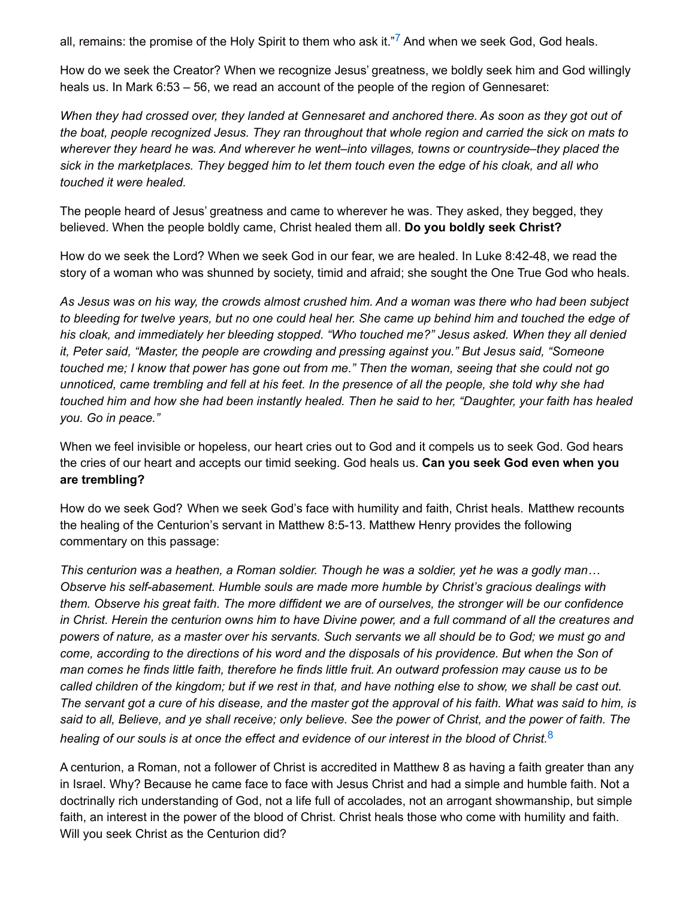all, remains: the promise of the Holy Spirit to them who ask it."<sup>[7](http://inallthings.org/the-healing-mission-of-christ/#fn7-4273)</sup> And when we seek God, God heals.

How do we seek the Creator? When we recognize Jesus' greatness, we boldly seek him and God willingly heals us. In Mark 6:53 – 56, we read an account of the people of the region of Gennesaret:

When they had crossed over, they landed at Gennesaret and anchored there. As soon as they got out of the boat, people recognized Jesus. They ran throughout that whole region and carried the sick on mats to *wherever they heard he was. And wherever he went–into villages, towns or countryside–they placed the* sick in the marketplaces. They begged him to let them touch even the edge of his cloak, and all who *touched it were healed.*

The people heard of Jesus' greatness and came to wherever he was. They asked, they begged, they believed. When the people boldly came, Christ healed them all. **Do you boldly seek Christ?**

How do we seek the Lord? When we seek God in our fear, we are healed. In Luke 8:42-48, we read the story of a woman who was shunned by society, timid and afraid; she sought the One True God who heals.

As Jesus was on his way, the crowds almost crushed him. And a woman was there who had been subject to bleeding for twelve years, but no one could heal her. She came up behind him and touched the edge of *his cloak, and immediately her bleeding stopped. "Who touched me?" Jesus asked. When they all denied it, Peter said, "Master, the people are crowding and pressing against you." But Jesus said, "Someone* touched me; I know that power has gone out from me." Then the woman, seeing that she could not go unnoticed, came trembling and fell at his feet. In the presence of all the people, she told why she had touched him and how she had been instantly healed. Then he said to her, "Daughter, your faith has healed *you. Go in peace."*

When we feel invisible or hopeless, our heart cries out to God and it compels us to seek God. God hears the cries of our heart and accepts our timid seeking. God heals us. **Can you seek God even when you are trembling?**

How do we seek God? When we seek God's face with humility and faith, Christ heals. Matthew recounts the healing of the Centurion's servant in Matthew 8:5-13. Matthew Henry provides the following commentary on this passage:

This centurion was a heathen, a Roman soldier. Though he was a soldier, yet he was a godly man... *Observe his self-abasement. Humble souls are made more humble by Christ's gracious dealings with* them. Observe his great faith. The more diffident we are of ourselves, the stronger will be our confidence in Christ. Herein the centurion owns him to have Divine power, and a full command of all the creatures and powers of nature, as a master over his servants. Such servants we all should be to God; we must go and come, according to the directions of his word and the disposals of his providence. But when the Son of man comes he finds little faith, therefore he finds little fruit. An outward profession may cause us to be called children of the kingdom; but if we rest in that, and have nothing else to show, we shall be cast out. The servant got a cure of his disease, and the master got the approval of his faith. What was said to him, is said to all, Believe, and ye shall receive; only believe. See the power of Christ, and the power of faith. The healing of our souls is at once the effect and evidence of our interest in the blood of Christ.<sup>[8](http://inallthings.org/the-healing-mission-of-christ/#fn8-4273)</sup>

A centurion, a Roman, not a follower of Christ is accredited in Matthew 8 as having a faith greater than any in Israel. Why? Because he came face to face with Jesus Christ and had a simple and humble faith. Not a doctrinally rich understanding of God, not a life full of accolades, not an arrogant showmanship, but simple faith, an interest in the power of the blood of Christ. Christ heals those who come with humility and faith. Will you seek Christ as the Centurion did?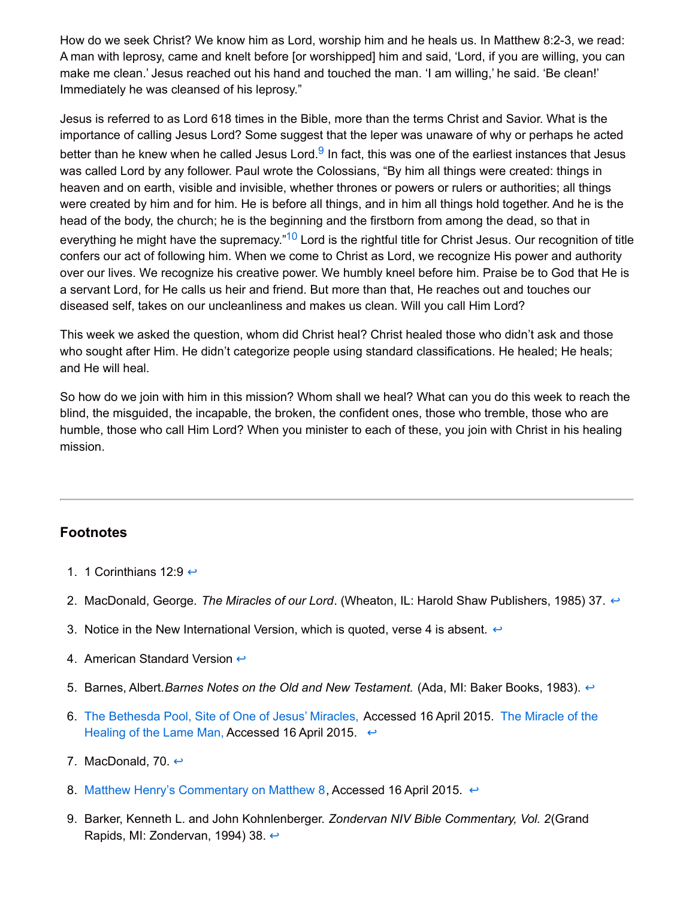How do we seek Christ? We know him as Lord, worship him and he heals us. In Matthew 8:2-3, we read: A man with leprosy, came and knelt before [or worshipped] him and said, 'Lord, if you are willing, you can make me clean.' Jesus reached out his hand and touched the man. 'I am willing,' he said. 'Be clean!' Immediately he was cleansed of his leprosy."

Jesus is referred to as Lord 618 times in the Bible, more than the terms Christ and Savior. What is the importance of calling Jesus Lord? Some suggest that the leper was unaware of why or perhaps he acted better than he knew when he called Jesus Lord.<sup>[9](http://inallthings.org/the-healing-mission-of-christ/#fn9-4273)</sup> In fact, this was one of the earliest instances that Jesus was called Lord by any follower. Paul wrote the Colossians, "By him all things were created: things in heaven and on earth, visible and invisible, whether thrones or powers or rulers or authorities; all things were created by him and for him. He is before all things, and in him all things hold together. And he is the head of the body, the church; he is the beginning and the firstborn from among the dead, so that in everything he might have the supremacy."<sup>[10](http://inallthings.org/the-healing-mission-of-christ/#fn10-4273)</sup> Lord is the rightful title for Christ Jesus. Our recognition of title confers our act of following him. When we come to Christ as Lord, we recognize His power and authority over our lives. We recognize his creative power. We humbly kneel before him. Praise be to God that He is a servant Lord, for He calls us heir and friend. But more than that, He reaches out and touches our diseased self, takes on our uncleanliness and makes us clean. Will you call Him Lord?

This week we asked the question, whom did Christ heal? Christ healed those who didn't ask and those who sought after Him. He didn't categorize people using standard classifications. He healed; He heals; and He will heal.

So how do we join with him in this mission? Whom shall we heal? What can you do this week to reach the blind, the misguided, the incapable, the broken, the confident ones, those who tremble, those who are humble, those who call Him Lord? When you minister to each of these, you join with Christ in his healing mission.

#### **Footnotes**

- 1. 1 Corinthians 12:9  $\leftrightarrow$
- 2. MacDonald, George. *The Miracles of our Lord*. (Wheaton, IL: Harold Shaw Publishers, 1985) 37. [↩](http://inallthings.org/the-healing-mission-of-christ/#rf2-4273)
- 3. Notice in the New International Version, which is quoted, verse 4 is absent.  $\leftrightarrow$
- 4. American Standard Version  $\leftrightarrow$
- 5. Barnes, Albert.*Barnes Notes on the Old and New Testament.* (Ada, MI: Baker Books, 1983). [↩](http://inallthings.org/the-healing-mission-of-christ/#rf5-4273)
- 6. The [Bethesda](http://www.biblicalarchaeology.org/daily/biblical-sites-places/jerusalem/the-bethesda-pool-site-of-one-of-jesus%E2%80%99-miracles/) Pool, Site of One of Jesus' Miracles, [Accessed](http://bible-truth.org/JohnChapter5.html) 16 April 2015. The Miracle of the Healing of the Lame Man, Accessed 16 April 2015.  $\leftrightarrow$
- 7. MacDonald, 70.  $\leftrightarrow$
- 8. Matthew Henry's [Commentary](http://biblehub.com/commentaries/mhc/matthew/8.htm) on Matthew 8, Accessed 16 April 2015.  $\leftrightarrow$
- 9. Barker, Kenneth L. and John Kohnlenberger. *Zondervan NIV Bible Commentary, Vol. 2*(Grand Rapids, MI: Zondervan, 1994) 38. [↩](http://inallthings.org/the-healing-mission-of-christ/#rf9-4273)